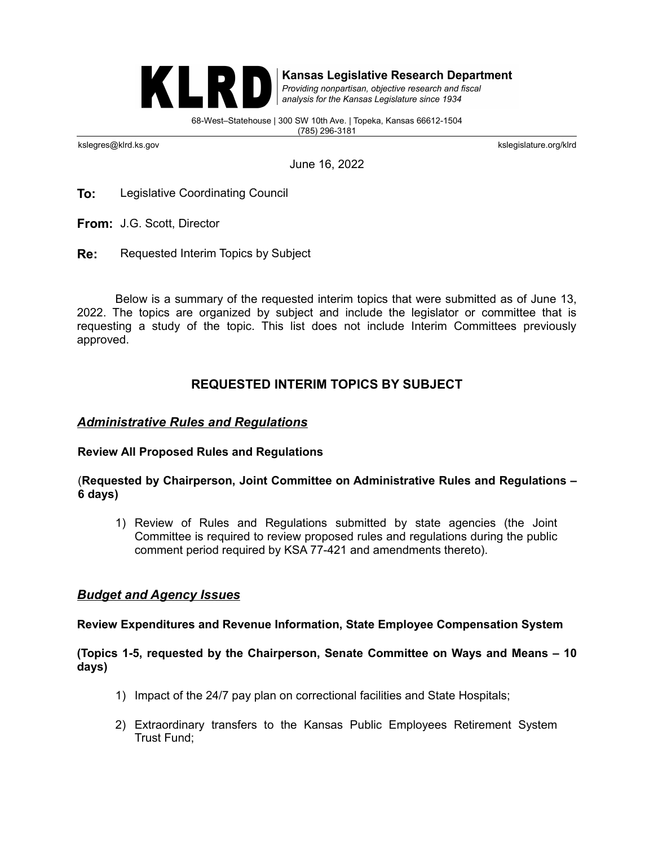

**Kansas Legislative Research Department** 

Providing nonpartisan, objective research and fiscal analysis for the Kansas Legislature since 1934

68-West–Statehouse | 300 SW 10th Ave. | Topeka, Kansas 66612-1504 (785) 296-3181

kslegres@klrd.ks.gov kslegislature.org/klrd

June 16, 2022

**To:** Legislative Coordinating Council

**From:** J.G. Scott, Director

**Re:** Requested Interim Topics by Subject

Below is a summary of the requested interim topics that were submitted as of June 13, 2022. The topics are organized by subject and include the legislator or committee that is requesting a study of the topic. This list does not include Interim Committees previously approved.

# **REQUESTED INTERIM TOPICS BY SUBJECT**

## *Administrative Rules and Regulations*

### **Review All Proposed Rules and Regulations**

### (**Requested by Chairperson, Joint Committee on Administrative Rules and Regulations – 6 days)**

1) Review of Rules and Regulations submitted by state agencies (the Joint Committee is required to review proposed rules and regulations during the public comment period required by KSA 77-421 and amendments thereto).

# *Budget and Agency Issues*

#### **Review Expenditures and Revenue Information, State Employee Compensation System**

### **(Topics 1-5, requested by the Chairperson, Senate Committee on Ways and Means – 10 days)**

- 1) Impact of the 24/7 pay plan on correctional facilities and State Hospitals;
- 2) Extraordinary transfers to the Kansas Public Employees Retirement System Trust Fund;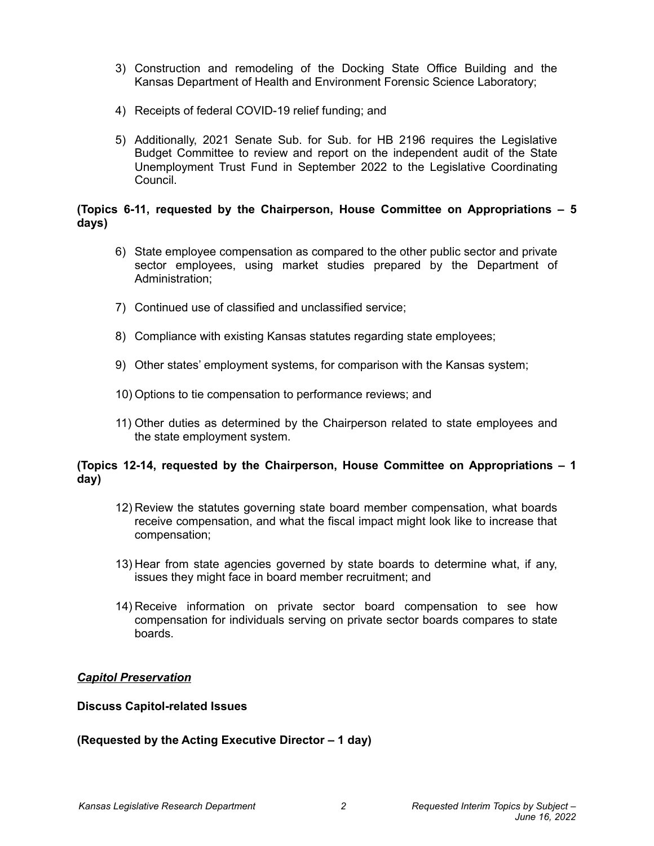- 3) Construction and remodeling of the Docking State Office Building and the Kansas Department of Health and Environment Forensic Science Laboratory;
- 4) Receipts of federal COVID-19 relief funding; and
- 5) Additionally, 2021 Senate Sub. for Sub. for HB 2196 requires the Legislative Budget Committee to review and report on the independent audit of the State Unemployment Trust Fund in September 2022 to the Legislative Coordinating Council.

### **(Topics 6-11, requested by the Chairperson, House Committee on Appropriations – 5 days)**

- 6) State employee compensation as compared to the other public sector and private sector employees, using market studies prepared by the Department of Administration;
- 7) Continued use of classified and unclassified service;
- 8) Compliance with existing Kansas statutes regarding state employees;
- 9) Other states' employment systems, for comparison with the Kansas system;
- 10) Options to tie compensation to performance reviews; and
- 11) Other duties as determined by the Chairperson related to state employees and the state employment system.

### **(Topics 12-14, requested by the Chairperson, House Committee on Appropriations – 1 day)**

- 12) Review the statutes governing state board member compensation, what boards receive compensation, and what the fiscal impact might look like to increase that compensation;
- 13) Hear from state agencies governed by state boards to determine what, if any, issues they might face in board member recruitment; and
- 14) Receive information on private sector board compensation to see how compensation for individuals serving on private sector boards compares to state boards.

### *Capitol Preservation*

#### **Discuss Capitol-related Issues**

### **(Requested by the Acting Executive Director – 1 day)**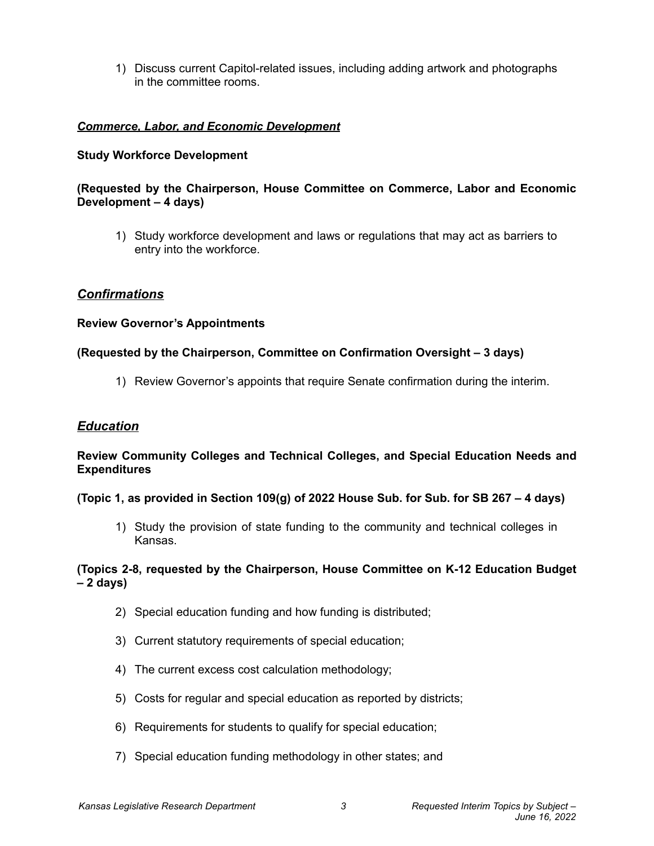1) Discuss current Capitol-related issues, including adding artwork and photographs in the committee rooms.

# *Commerce, Labor, and Economic Development*

### **Study Workforce Development**

### **(Requested by the Chairperson, House Committee on Commerce, Labor and Economic Development – 4 days)**

1) Study workforce development and laws or regulations that may act as barriers to entry into the workforce.

### *Confirmations*

### **Review Governor's Appointments**

### **(Requested by the Chairperson, Committee on Confirmation Oversight – 3 days)**

1) Review Governor's appoints that require Senate confirmation during the interim.

### *Education*

### **Review Community Colleges and Technical Colleges, and Special Education Needs and Expenditures**

#### **(Topic 1, as provided in Section 109(g) of 2022 House Sub. for Sub. for SB 267 – 4 days)**

1) Study the provision of state funding to the community and technical colleges in Kansas.

### **(Topics 2-8, requested by the Chairperson, House Committee on K-12 Education Budget – 2 days)**

- 2) Special education funding and how funding is distributed;
- 3) Current statutory requirements of special education;
- 4) The current excess cost calculation methodology;
- 5) Costs for regular and special education as reported by districts;
- 6) Requirements for students to qualify for special education;
- 7) Special education funding methodology in other states; and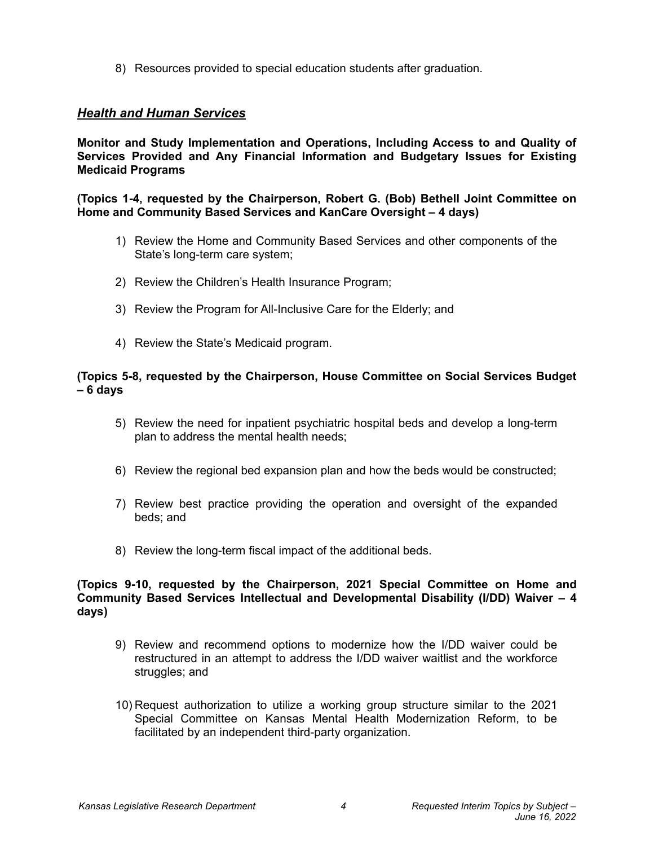8) Resources provided to special education students after graduation.

# *Health and Human Services*

**Monitor and Study Implementation and Operations, Including Access to and Quality of Services Provided and Any Financial Information and Budgetary Issues for Existing Medicaid Programs**

**(Topics 1-4, requested by the Chairperson, Robert G. (Bob) Bethell Joint Committee on Home and Community Based Services and KanCare Oversight – 4 days)**

- 1) Review the Home and Community Based Services and other components of the State's long-term care system;
- 2) Review the Children's Health Insurance Program;
- 3) Review the Program for All-Inclusive Care for the Elderly; and
- 4) Review the State's Medicaid program.

### **(Topics 5-8, requested by the Chairperson, House Committee on Social Services Budget – 6 days**

- 5) Review the need for inpatient psychiatric hospital beds and develop a long-term plan to address the mental health needs;
- 6) Review the regional bed expansion plan and how the beds would be constructed;
- 7) Review best practice providing the operation and oversight of the expanded beds; and
- 8) Review the long-term fiscal impact of the additional beds.

#### **(Topics 9-10, requested by the Chairperson, 2021 Special Committee on Home and Community Based Services Intellectual and Developmental Disability (I/DD) Waiver – 4 days)**

- 9) Review and recommend options to modernize how the I/DD waiver could be restructured in an attempt to address the I/DD waiver waitlist and the workforce struggles; and
- 10) Request authorization to utilize a working group structure similar to the 2021 Special Committee on Kansas Mental Health Modernization Reform, to be facilitated by an independent third-party organization.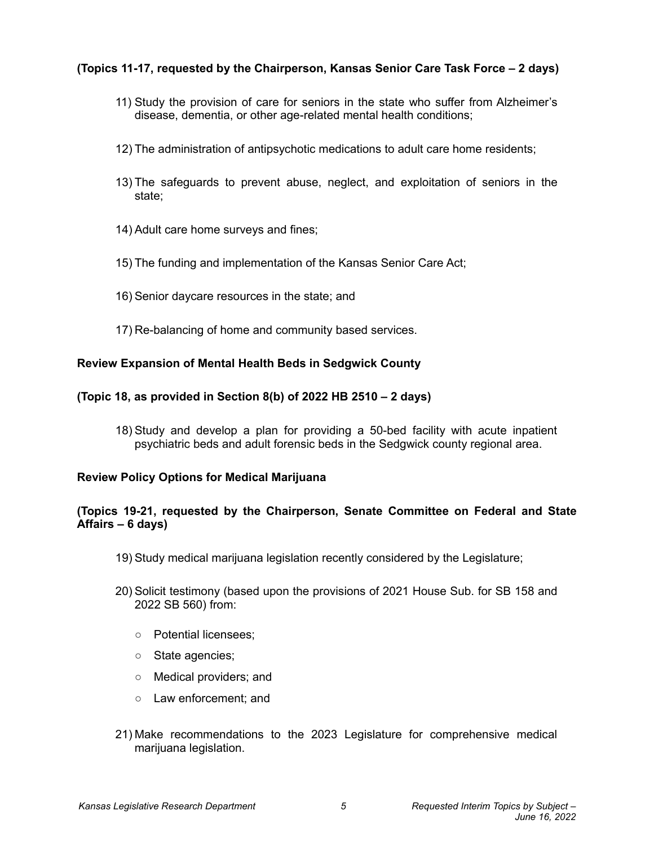# **(Topics 11-17, requested by the Chairperson, Kansas Senior Care Task Force – 2 days)**

- 11) Study the provision of care for seniors in the state who suffer from Alzheimer's disease, dementia, or other age-related mental health conditions;
- 12) The administration of antipsychotic medications to adult care home residents;
- 13) The safeguards to prevent abuse, neglect, and exploitation of seniors in the state;
- 14) Adult care home surveys and fines;
- 15) The funding and implementation of the Kansas Senior Care Act;
- 16) Senior daycare resources in the state; and
- 17) Re-balancing of home and community based services.

### **Review Expansion of Mental Health Beds in Sedgwick County**

### **(Topic 18, as provided in Section 8(b) of 2022 HB 2510 – 2 days)**

18) Study and develop a plan for providing a 50-bed facility with acute inpatient psychiatric beds and adult forensic beds in the Sedgwick county regional area.

#### **Review Policy Options for Medical Marijuana**

### **(Topics 19-21, requested by the Chairperson, Senate Committee on Federal and State Affairs – 6 days)**

- 19) Study medical marijuana legislation recently considered by the Legislature;
- 20) Solicit testimony (based upon the provisions of 2021 House Sub. for SB 158 and 2022 SB 560) from:
	- Potential licensees;
	- State agencies;
	- Medical providers; and
	- Law enforcement; and
- 21) Make recommendations to the 2023 Legislature for comprehensive medical marijuana legislation.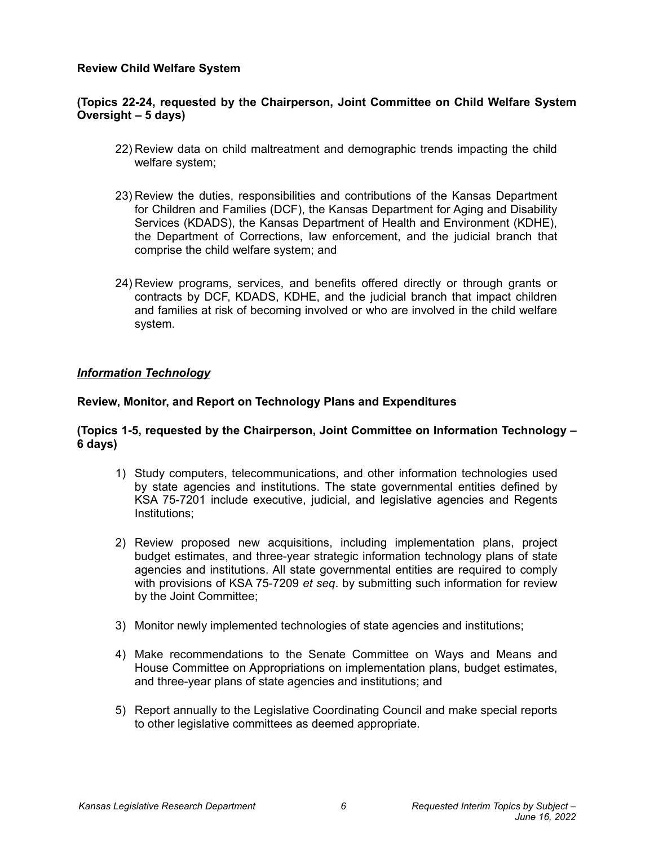### **Review Child Welfare System**

### **(Topics 22-24, requested by the Chairperson, Joint Committee on Child Welfare System Oversight – 5 days)**

- 22) Review data on child maltreatment and demographic trends impacting the child welfare system;
- 23) Review the duties, responsibilities and contributions of the Kansas Department for Children and Families (DCF), the Kansas Department for Aging and Disability Services (KDADS), the Kansas Department of Health and Environment (KDHE), the Department of Corrections, law enforcement, and the judicial branch that comprise the child welfare system; and
- 24) Review programs, services, and benefits offered directly or through grants or contracts by DCF, KDADS, KDHE, and the judicial branch that impact children and families at risk of becoming involved or who are involved in the child welfare system.

### *Information Technology*

### **Review, Monitor, and Report on Technology Plans and Expenditures**

### **(Topics 1-5, requested by the Chairperson, Joint Committee on Information Technology – 6 days)**

- 1) Study computers, telecommunications, and other information technologies used by state agencies and institutions. The state governmental entities defined by KSA 75-7201 include executive, judicial, and legislative agencies and Regents Institutions;
- 2) Review proposed new acquisitions, including implementation plans, project budget estimates, and three-year strategic information technology plans of state agencies and institutions. All state governmental entities are required to comply with provisions of KSA 75-7209 *et seq*. by submitting such information for review by the Joint Committee;
- 3) Monitor newly implemented technologies of state agencies and institutions;
- 4) Make recommendations to the Senate Committee on Ways and Means and House Committee on Appropriations on implementation plans, budget estimates, and three-year plans of state agencies and institutions; and
- 5) Report annually to the Legislative Coordinating Council and make special reports to other legislative committees as deemed appropriate.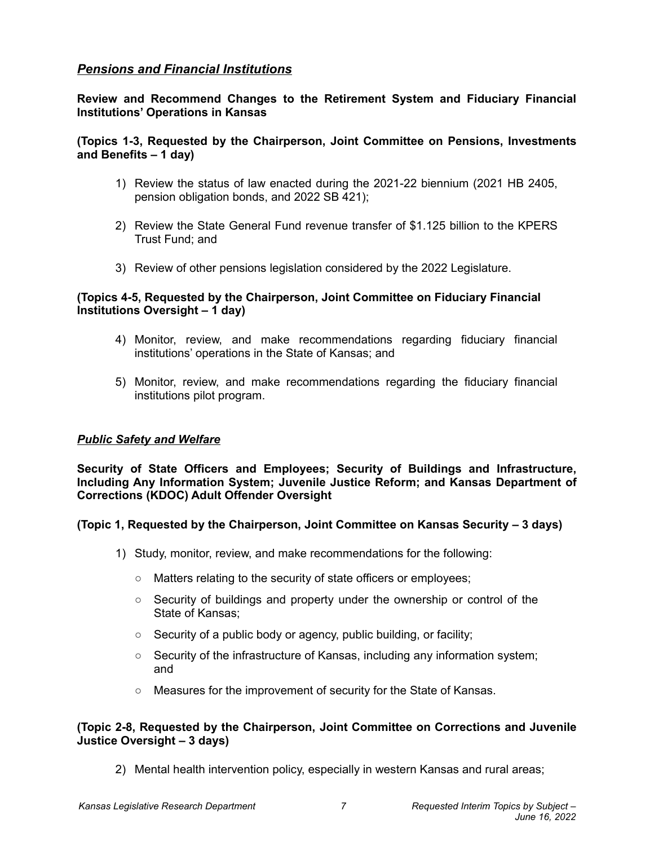# *Pensions and Financial Institutions*

**Review and Recommend Changes to the Retirement System and Fiduciary Financial Institutions' Operations in Kansas**

### **(Topics 1-3, Requested by the Chairperson, Joint Committee on Pensions, Investments and Benefits – 1 day)**

- 1) Review the status of law enacted during the 2021-22 biennium (2021 HB 2405, pension obligation bonds, and 2022 SB 421);
- 2) Review the State General Fund revenue transfer of \$1.125 billion to the KPERS Trust Fund; and
- 3) Review of other pensions legislation considered by the 2022 Legislature.

## **(Topics 4-5, Requested by the Chairperson, Joint Committee on Fiduciary Financial Institutions Oversight – 1 day)**

- 4) Monitor, review, and make recommendations regarding fiduciary financial institutions' operations in the State of Kansas; and
- 5) Monitor, review, and make recommendations regarding the fiduciary financial institutions pilot program.

### *Public Safety and Welfare*

**Security of State Officers and Employees; Security of Buildings and Infrastructure, Including Any Information System; Juvenile Justice Reform; and Kansas Department of Corrections (KDOC) Adult Offender Oversight**

### **(Topic 1, Requested by the Chairperson, Joint Committee on Kansas Security – 3 days)**

- 1) Study, monitor, review, and make recommendations for the following:
	- Matters relating to the security of state officers or employees;
	- Security of buildings and property under the ownership or control of the State of Kansas;
	- Security of a public body or agency, public building, or facility;
	- Security of the infrastructure of Kansas, including any information system; and
	- Measures for the improvement of security for the State of Kansas.

### **(Topic 2-8, Requested by the Chairperson, Joint Committee on Corrections and Juvenile Justice Oversight – 3 days)**

2) Mental health intervention policy, especially in western Kansas and rural areas;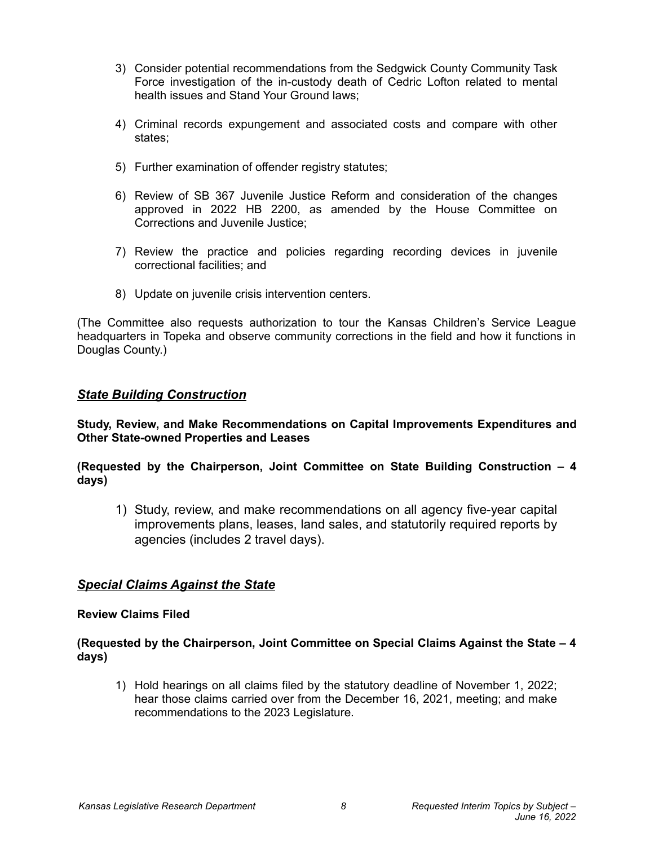- 3) Consider potential recommendations from the Sedgwick County Community Task Force investigation of the in-custody death of Cedric Lofton related to mental health issues and Stand Your Ground laws;
- 4) Criminal records expungement and associated costs and compare with other states;
- 5) Further examination of offender registry statutes;
- 6) Review of SB 367 Juvenile Justice Reform and consideration of the changes approved in 2022 HB 2200, as amended by the House Committee on Corrections and Juvenile Justice;
- 7) Review the practice and policies regarding recording devices in juvenile correctional facilities; and
- 8) Update on juvenile crisis intervention centers.

(The Committee also requests authorization to tour the Kansas Children's Service League headquarters in Topeka and observe community corrections in the field and how it functions in Douglas County.)

### *State Building Construction*

**Study, Review, and Make Recommendations on Capital Improvements Expenditures and Other State-owned Properties and Leases**

**(Requested by the Chairperson, Joint Committee on State Building Construction – 4 days)**

1) Study, review, and make recommendations on all agency five-year capital improvements plans, leases, land sales, and statutorily required reports by agencies (includes 2 travel days).

# *Special Claims Against the State*

#### **Review Claims Filed**

**(Requested by the Chairperson, Joint Committee on Special Claims Against the State – 4 days)**

1) Hold hearings on all claims filed by the statutory deadline of November 1, 2022; hear those claims carried over from the December 16, 2021, meeting; and make recommendations to the 2023 Legislature.